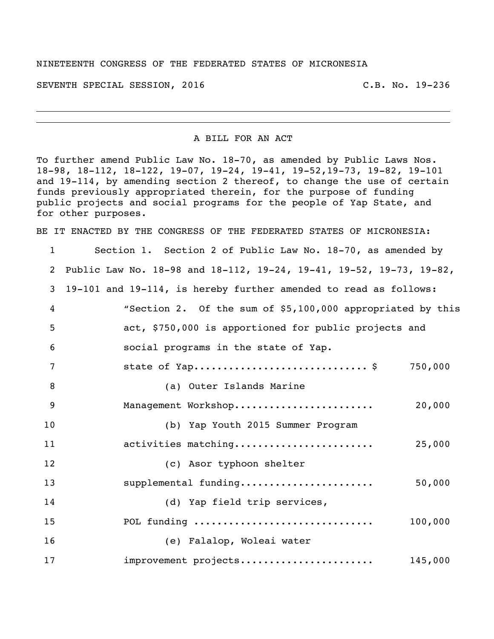## NINETEENTH CONGRESS OF THE FEDERATED STATES OF MICRONESIA

SEVENTH SPECIAL SESSION, 2016 C.B. No. 19-236

A BILL FOR AN ACT

To further amend Public Law No. 18-70, as amended by Public Laws Nos. 18-98, 18-112, 18-122, 19-07, 19-24, 19-41, 19-52,19-73, 19-82, 19-101 and 19-114, by amending section 2 thereof, to change the use of certain funds previously appropriated therein, for the purpose of funding public projects and social programs for the people of Yap State, and for other purposes.

BE IT ENACTED BY THE CONGRESS OF THE FEDERATED STATES OF MICRONESIA:

 Section 1. Section 2 of Public Law No. 18-70, as amended by Public Law No. 18-98 and 18-112, 19-24, 19-41, 19-52, 19-73, 19-82, 19-101 and 19-114, is hereby further amended to read as follows: "Section 2. Of the sum of \$5,100,000 appropriated by this act, \$750,000 is apportioned for public projects and social programs in the state of Yap. 7 state of Yap................................\$ 750,000 (a) Outer Islands Marine Management Workshop........................ 20,000 (b) Yap Youth 2015 Summer Program activities matching........................ 25,000 (c) Asor typhoon shelter supplemental funding....................... 50,000 (d) Yap field trip services, POL funding ............................... 100,000 (e) Falalop, Woleai water improvement projects....................... 145,000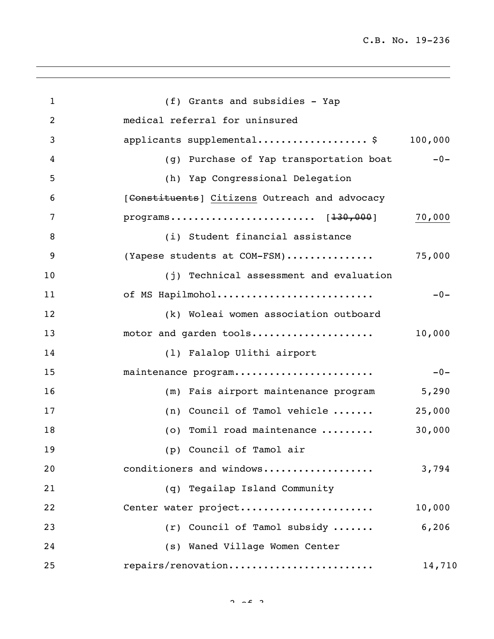| $\mathbf{1}$   | (f) Grants and subsidies - Yap                |         |
|----------------|-----------------------------------------------|---------|
| $\overline{2}$ | medical referral for uninsured                |         |
| 3              | applicants supplemental\$                     | 100,000 |
| 4              | (g) Purchase of Yap transportation boat       | $-0-$   |
| 5              | (h) Yap Congressional Delegation              |         |
| 6              | [Constituents] Citizens Outreach and advocacy |         |
| 7              |                                               | 70,000  |
| 8              | (i) Student financial assistance              |         |
| 9              | (Yapese students at COM-FSM)                  | 75,000  |
| 10             | (j) Technical assessment and evaluation       |         |
| 11             | of MS Hapilmohol                              | $-0-$   |
| 12             | (k) Woleai women association outboard         |         |
| 13             | motor and garden tools                        | 10,000  |
| 14             | (1) Falalop Ulithi airport                    |         |
| 15             | maintenance program                           | $-0-$   |
| 16             | (m) Fais airport maintenance program          | 5,290   |
| 17             | (n) Council of Tamol vehicle                  | 25,000  |
| 18             | (o) Tomil road maintenance                    | 30,000  |
| 19             | (p) Council of Tamol air                      |         |
| 20             | conditioners and windows                      | 3,794   |
| 21             | (q) Tegailap Island Community                 |         |
| 22             | Center water project                          | 10,000  |
| 23             | (r) Council of Tamol subsidy                  | 6,206   |
| 24             | (s) Waned Village Women Center                |         |
| 25             | repairs/renovation                            | 14,710  |